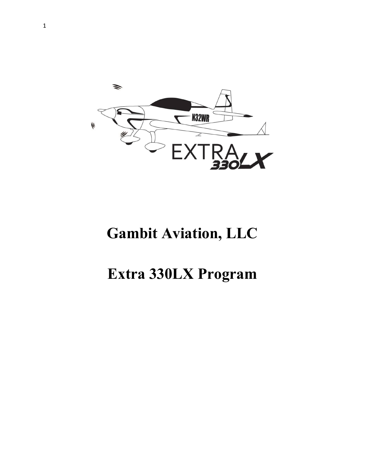

# **Gambit Aviation, LLC**

# **Extra 330LX Program**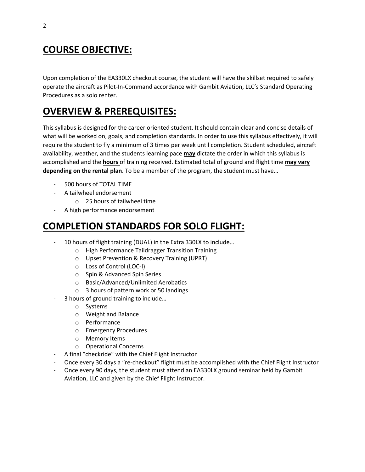## **COURSE OBJECTIVE:**

Upon completion of the EA330LX checkout course, the student will have the skillset required to safely operate the aircraft as Pilot-In-Command accordance with Gambit Aviation, LLC's Standard Operating Procedures as a solo renter.

## **OVERVIEW & PREREQUISITES:**

This syllabus is designed for the career oriented student. It should contain clear and concise details of what will be worked on, goals, and completion standards. In order to use this syllabus effectively, it will require the student to fly a minimum of 3 times per week until completion. Student scheduled, aircraft availability, weather, and the students learning pace **may** dictate the order in which this syllabus is accomplished and the **hours** of training received. Estimated total of ground and flight time **may vary depending on the rental plan**. To be a member of the program, the student must have…

- 500 hours of TOTAL TIME
- A tailwheel endorsement
	- o 25 hours of tailwheel time
- A high performance endorsement

#### **COMPLETION STANDARDS FOR SOLO FLIGHT:**

- 10 hours of flight training (DUAL) in the Extra 330LX to include...
	- o High Performance Taildragger Transition Training
	- o Upset Prevention & Recovery Training (UPRT)
	- o Loss of Control (LOC-I)
	- o Spin & Advanced Spin Series
	- o Basic/Advanced/Unlimited Aerobatics
	- o 3 hours of pattern work or 50 landings
- 3 hours of ground training to include...
	- o Systems
	- o Weight and Balance
	- o Performance
	- o Emergency Procedures
	- o Memory Items
	- o Operational Concerns
- A final "checkride" with the Chief Flight Instructor
- Once every 30 days a "re-checkout" flight must be accomplished with the Chief Flight Instructor
- Once every 90 days, the student must attend an EA330LX ground seminar held by Gambit Aviation, LLC and given by the Chief Flight Instructor.